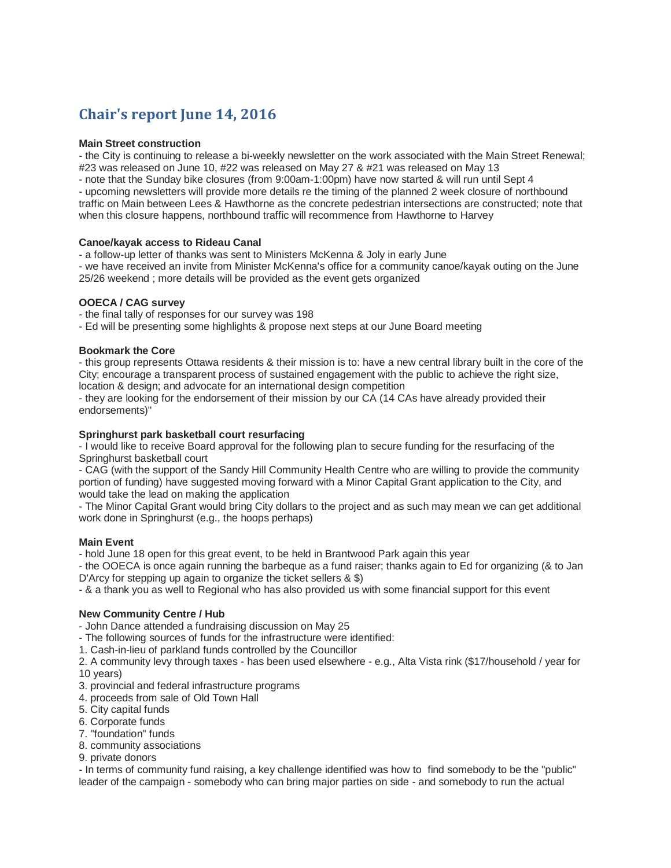# **Chair's report June 14, 2016**

#### **Main Street construction**

- the City is continuing to release a bi-weekly newsletter on the work associated with the Main Street Renewal; #23 was released on June 10, #22 was released on May 27 & #21 was released on May 13

- note that the Sunday bike closures (from 9:00am-1:00pm) have now started & will run until Sept 4

- upcoming newsletters will provide more details re the timing of the planned 2 week closure of northbound traffic on Main between Lees & Hawthorne as the concrete pedestrian intersections are constructed; note that when this closure happens, northbound traffic will recommence from Hawthorne to Harvey

#### **Canoe/kayak access to Rideau Canal**

- a follow-up letter of thanks was sent to Ministers McKenna & Joly in early June

- we have received an invite from Minister McKenna's office for a community canoe/kayak outing on the June 25/26 weekend ; more details will be provided as the event gets organized

#### **OOECA / CAG survey**

- the final tally of responses for our survey was 198

- Ed will be presenting some highlights & propose next steps at our June Board meeting

#### **Bookmark the Core**

- this group represents Ottawa residents & their mission is to: have a new central library built in the core of the City; encourage a transparent process of sustained engagement with the public to achieve the right size, location & design; and advocate for an international design competition

- they are looking for the endorsement of their mission by our CA (14 CAs have already provided their endorsements)"

# **Springhurst park basketball court resurfacing**

- I would like to receive Board approval for the following plan to secure funding for the resurfacing of the Springhurst basketball court

- CAG (with the support of the Sandy Hill Community Health Centre who are willing to provide the community portion of funding) have suggested moving forward with a Minor Capital Grant application to the City, and would take the lead on making the application

- The Minor Capital Grant would bring City dollars to the project and as such may mean we can get additional work done in Springhurst (e.g., the hoops perhaps)

# **Main Event**

- hold June 18 open for this great event, to be held in Brantwood Park again this year

- the OOECA is once again running the barbeque as a fund raiser; thanks again to Ed for organizing (& to Jan D'Arcy for stepping up again to organize the ticket sellers & \$)

- & a thank you as well to Regional who has also provided us with some financial support for this event

# **New Community Centre / Hub**

- John Dance attended a fundraising discussion on May 25

- The following sources of funds for the infrastructure were identified:

1. Cash-in-lieu of parkland funds controlled by the Councillor

2. A community levy through taxes - has been used elsewhere - e.g., Alta Vista rink (\$17/household / year for 10 years)

3. provincial and federal infrastructure programs

- 4. proceeds from sale of Old Town Hall
- 5. City capital funds
- 6. Corporate funds
- 7. "foundation" funds
- 8. community associations
- 9. private donors

- In terms of community fund raising, a key challenge identified was how to find somebody to be the "public" leader of the campaign - somebody who can bring major parties on side - and somebody to run the actual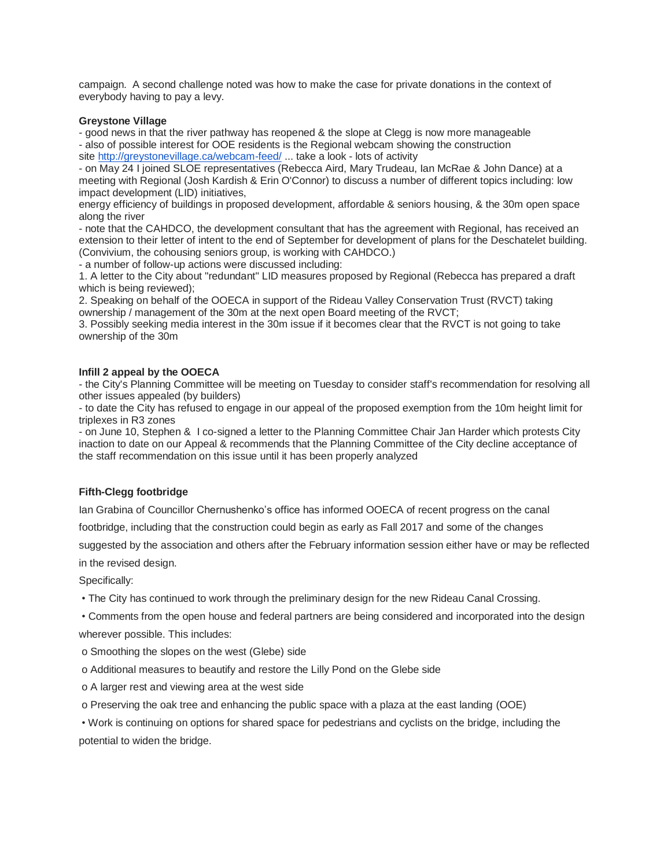campaign. A second challenge noted was how to make the case for private donations in the context of everybody having to pay a levy.

#### **Greystone Village**

- good news in that the river pathway has reopened & the slope at Clegg is now more manageable - also of possible interest for OOE residents is the Regional webcam showing the construction site <http://greystonevillage.ca/webcam-feed/> ... take a look - lots of activity

- on May 24 I joined SLOE representatives (Rebecca Aird, Mary Trudeau, Ian McRae & John Dance) at a meeting with Regional (Josh Kardish & Erin O'Connor) to discuss a number of different topics including: low impact development (LID) initiatives,

energy efficiency of buildings in proposed development, affordable & seniors housing, & the 30m open space along the river

- note that the CAHDCO, the development consultant that has the agreement with Regional, has received an extension to their letter of intent to the end of September for development of plans for the Deschatelet building. (Convivium, the cohousing seniors group, is working with CAHDCO.)

- a number of follow-up actions were discussed including:

1. A letter to the City about "redundant" LID measures proposed by Regional (Rebecca has prepared a draft which is being reviewed);

2. Speaking on behalf of the OOECA in support of the Rideau Valley Conservation Trust (RVCT) taking ownership / management of the 30m at the next open Board meeting of the RVCT;

3. Possibly seeking media interest in the 30m issue if it becomes clear that the RVCT is not going to take ownership of the 30m

#### **Infill 2 appeal by the OOECA**

- the City's Planning Committee will be meeting on Tuesday to consider staff's recommendation for resolving all other issues appealed (by builders)

- to date the City has refused to engage in our appeal of the proposed exemption from the 10m height limit for triplexes in R3 zones

- on June 10, Stephen & I co-signed a letter to the Planning Committee Chair Jan Harder which protests City inaction to date on our Appeal & recommends that the Planning Committee of the City decline acceptance of the staff recommendation on this issue until it has been properly analyzed

# **Fifth-Clegg footbridge**

Ian Grabina of Councillor Chernushenko's office has informed OOECA of recent progress on the canal

footbridge, including that the construction could begin as early as Fall 2017 and some of the changes

suggested by the association and others after the February information session either have or may be reflected in the revised design.

Specifically:

• The City has continued to work through the preliminary design for the new Rideau Canal Crossing.

• Comments from the open house and federal partners are being considered and incorporated into the design wherever possible. This includes:

- o Smoothing the slopes on the west (Glebe) side
- o Additional measures to beautify and restore the Lilly Pond on the Glebe side
- o A larger rest and viewing area at the west side
- o Preserving the oak tree and enhancing the public space with a plaza at the east landing (OOE)

• Work is continuing on options for shared space for pedestrians and cyclists on the bridge, including the potential to widen the bridge.